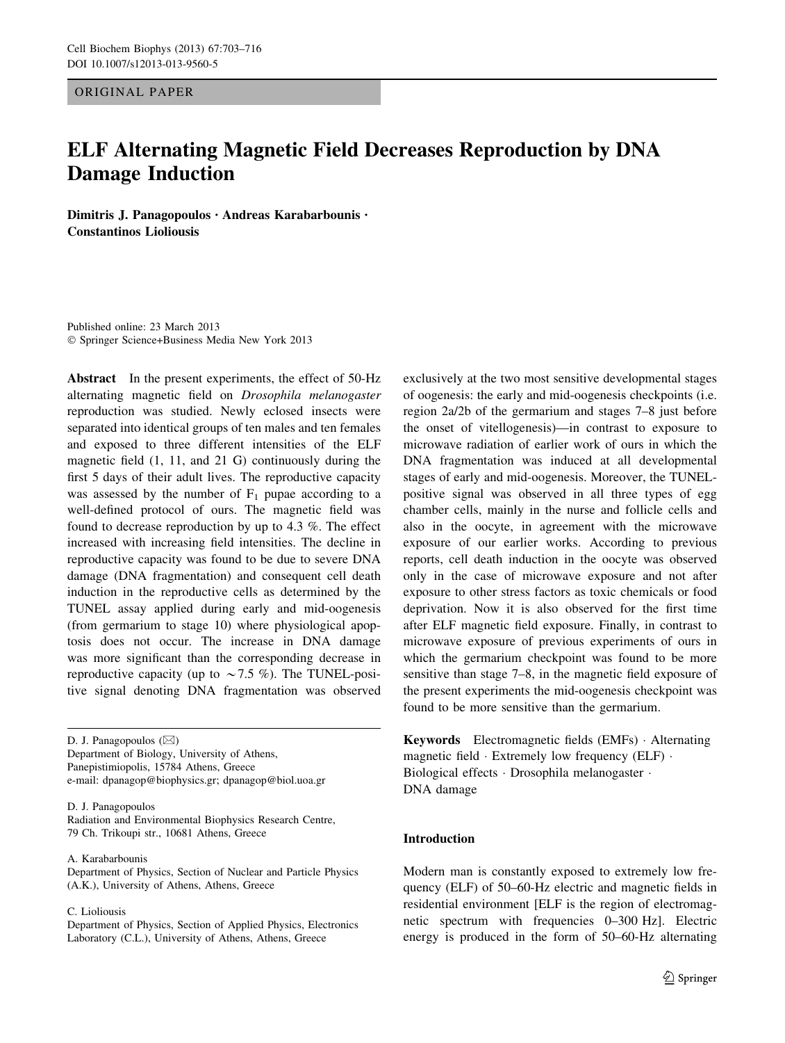ORIGINAL PAPER

# ELF Alternating Magnetic Field Decreases Reproduction by DNA Damage Induction

Dimitris J. Panagopoulos • Andreas Karabarbounis • Constantinos Lioliousis

Published online: 23 March 2013 - Springer Science+Business Media New York 2013

Abstract In the present experiments, the effect of 50-Hz alternating magnetic field on Drosophila melanogaster reproduction was studied. Newly eclosed insects were separated into identical groups of ten males and ten females and exposed to three different intensities of the ELF magnetic field (1, 11, and 21 G) continuously during the first 5 days of their adult lives. The reproductive capacity was assessed by the number of  $F_1$  pupae according to a well-defined protocol of ours. The magnetic field was found to decrease reproduction by up to 4.3 %. The effect increased with increasing field intensities. The decline in reproductive capacity was found to be due to severe DNA damage (DNA fragmentation) and consequent cell death induction in the reproductive cells as determined by the TUNEL assay applied during early and mid-oogenesis (from germarium to stage 10) where physiological apoptosis does not occur. The increase in DNA damage was more significant than the corresponding decrease in reproductive capacity (up to  $\sim$  7.5 %). The TUNEL-positive signal denoting DNA fragmentation was observed

D. J. Panagopoulos  $(\boxtimes)$ Department of Biology, University of Athens, Panepistimiopolis, 15784 Athens, Greece e-mail: dpanagop@biophysics.gr; dpanagop@biol.uoa.gr

D. J. Panagopoulos

Radiation and Environmental Biophysics Research Centre, 79 Ch. Trikoupi str., 10681 Athens, Greece

A. Karabarbounis

Department of Physics, Section of Nuclear and Particle Physics (A.K.), University of Athens, Athens, Greece

C. Lioliousis

Department of Physics, Section of Applied Physics, Electronics Laboratory (C.L.), University of Athens, Athens, Greece

exclusively at the two most sensitive developmental stages of oogenesis: the early and mid-oogenesis checkpoints (i.e. region 2a/2b of the germarium and stages 7–8 just before the onset of vitellogenesis)—in contrast to exposure to microwave radiation of earlier work of ours in which the DNA fragmentation was induced at all developmental stages of early and mid-oogenesis. Moreover, the TUNELpositive signal was observed in all three types of egg chamber cells, mainly in the nurse and follicle cells and also in the oocyte, in agreement with the microwave exposure of our earlier works. According to previous reports, cell death induction in the oocyte was observed only in the case of microwave exposure and not after exposure to other stress factors as toxic chemicals or food deprivation. Now it is also observed for the first time after ELF magnetic field exposure. Finally, in contrast to microwave exposure of previous experiments of ours in which the germarium checkpoint was found to be more sensitive than stage 7–8, in the magnetic field exposure of the present experiments the mid-oogenesis checkpoint was found to be more sensitive than the germarium.

Keywords Electromagnetic fields (EMFs) - Alternating magnetic field · Extremely low frequency (ELF) · Biological effects - Drosophila melanogaster - DNA damage

## Introduction

Modern man is constantly exposed to extremely low frequency (ELF) of 50–60-Hz electric and magnetic fields in residential environment [ELF is the region of electromagnetic spectrum with frequencies 0–300 Hz]. Electric energy is produced in the form of 50–60-Hz alternating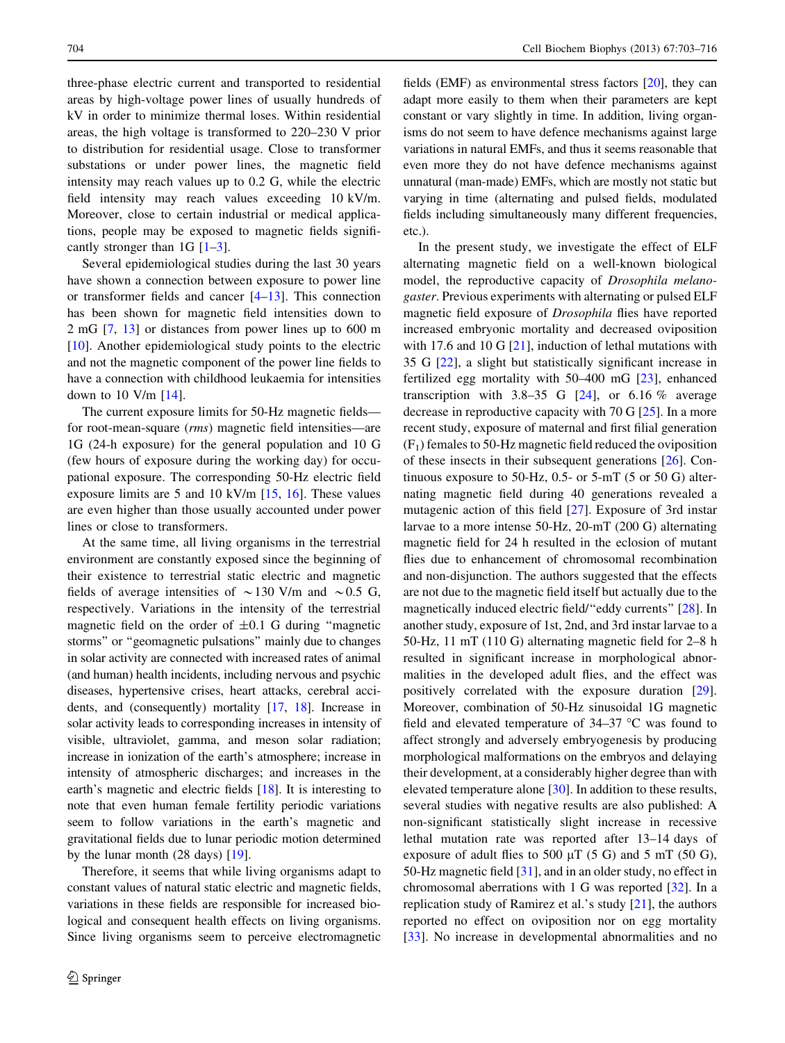three-phase electric current and transported to residential areas by high-voltage power lines of usually hundreds of kV in order to minimize thermal loses. Within residential areas, the high voltage is transformed to 220–230 V prior to distribution for residential usage. Close to transformer substations or under power lines, the magnetic field intensity may reach values up to 0.2 G, while the electric field intensity may reach values exceeding 10 kV/m. Moreover, close to certain industrial or medical applications, people may be exposed to magnetic fields significantly stronger than 1G  $[1-3]$ .

Several epidemiological studies during the last 30 years have shown a connection between exposure to power line or transformer fields and cancer [\[4](#page-11-0)[–13\]](#page-12-0). This connection has been shown for magnetic field intensities down to 2 mG [\[7](#page-11-0), [13\]](#page-12-0) or distances from power lines up to 600 m [\[10](#page-12-0)]. Another epidemiological study points to the electric and not the magnetic component of the power line fields to have a connection with childhood leukaemia for intensities down to 10 V/m [\[14](#page-12-0)].

The current exposure limits for 50-Hz magnetic fields for root-mean-square (rms) magnetic field intensities—are 1G (24-h exposure) for the general population and 10 G (few hours of exposure during the working day) for occupational exposure. The corresponding 50-Hz electric field exposure limits are 5 and 10 kV/m [\[15](#page-12-0), [16](#page-12-0)]. These values are even higher than those usually accounted under power lines or close to transformers.

At the same time, all living organisms in the terrestrial environment are constantly exposed since the beginning of their existence to terrestrial static electric and magnetic fields of average intensities of  $\sim$ 130 V/m and  $\sim$ 0.5 G, respectively. Variations in the intensity of the terrestrial magnetic field on the order of  $\pm 0.1$  G during "magnetic storms'' or ''geomagnetic pulsations'' mainly due to changes in solar activity are connected with increased rates of animal (and human) health incidents, including nervous and psychic diseases, hypertensive crises, heart attacks, cerebral accidents, and (consequently) mortality [[17,](#page-12-0) [18](#page-12-0)]. Increase in solar activity leads to corresponding increases in intensity of visible, ultraviolet, gamma, and meson solar radiation; increase in ionization of the earth's atmosphere; increase in intensity of atmospheric discharges; and increases in the earth's magnetic and electric fields [\[18](#page-12-0)]. It is interesting to note that even human female fertility periodic variations seem to follow variations in the earth's magnetic and gravitational fields due to lunar periodic motion determined by the lunar month (28 days) [\[19\]](#page-12-0).

Therefore, it seems that while living organisms adapt to constant values of natural static electric and magnetic fields, variations in these fields are responsible for increased biological and consequent health effects on living organisms. Since living organisms seem to perceive electromagnetic

fields (EMF) as environmental stress factors [\[20\]](#page-12-0), they can adapt more easily to them when their parameters are kept constant or vary slightly in time. In addition, living organisms do not seem to have defence mechanisms against large variations in natural EMFs, and thus it seems reasonable that even more they do not have defence mechanisms against unnatural (man-made) EMFs, which are mostly not static but varying in time (alternating and pulsed fields, modulated fields including simultaneously many different frequencies, etc.).

In the present study, we investigate the effect of ELF alternating magnetic field on a well-known biological model, the reproductive capacity of Drosophila melanogaster. Previous experiments with alternating or pulsed ELF magnetic field exposure of Drosophila flies have reported increased embryonic mortality and decreased oviposition with 17.6 and 10 G [\[21](#page-12-0)], induction of lethal mutations with 35 G [\[22](#page-12-0)], a slight but statistically significant increase in fertilized egg mortality with 50–400 mG [\[23](#page-12-0)], enhanced transcription with 3.8–35 G  $[24]$  $[24]$ , or 6.16 % average decrease in reproductive capacity with 70 G [[25\]](#page-12-0). In a more recent study, exposure of maternal and first filial generation  $(F<sub>1</sub>)$  females to 50-Hz magnetic field reduced the oviposition of these insects in their subsequent generations [\[26](#page-12-0)]. Continuous exposure to 50-Hz, 0.5- or 5-mT (5 or 50 G) alternating magnetic field during 40 generations revealed a mutagenic action of this field [\[27](#page-12-0)]. Exposure of 3rd instar larvae to a more intense 50-Hz, 20-mT (200 G) alternating magnetic field for 24 h resulted in the eclosion of mutant flies due to enhancement of chromosomal recombination and non-disjunction. The authors suggested that the effects are not due to the magnetic field itself but actually due to the magnetically induced electric field/"eddy currents" [[28\]](#page-12-0). In another study, exposure of 1st, 2nd, and 3rd instar larvae to a 50-Hz, 11 mT (110 G) alternating magnetic field for 2–8 h resulted in significant increase in morphological abnormalities in the developed adult flies, and the effect was positively correlated with the exposure duration [\[29](#page-12-0)]. Moreover, combination of 50-Hz sinusoidal 1G magnetic field and elevated temperature of  $34-37$  °C was found to affect strongly and adversely embryogenesis by producing morphological malformations on the embryos and delaying their development, at a considerably higher degree than with elevated temperature alone [\[30](#page-12-0)]. In addition to these results, several studies with negative results are also published: A non-significant statistically slight increase in recessive lethal mutation rate was reported after 13–14 days of exposure of adult flies to 500  $\mu$ T (5 G) and 5 mT (50 G), 50-Hz magnetic field [\[31](#page-12-0)], and in an older study, no effect in chromosomal aberrations with 1 G was reported [\[32](#page-12-0)]. In a replication study of Ramirez et al.'s study [\[21](#page-12-0)], the authors reported no effect on oviposition nor on egg mortality [\[33](#page-12-0)]. No increase in developmental abnormalities and no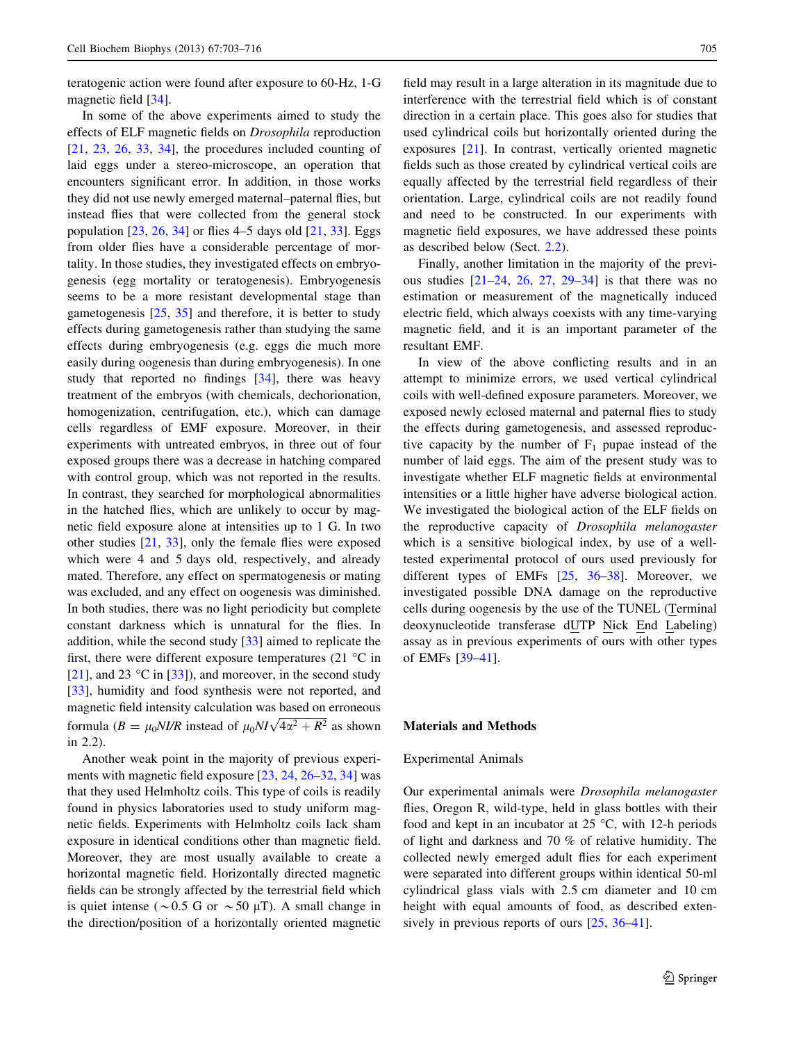teratogenic action were found after exposure to 60-Hz, 1-G magnetic field [[34](#page-12-0)].

In some of the above experiments aimed to study the effects of ELF magnetic fields on Drosophila reproduction [\[21](#page-12-0), [23,](#page-12-0) [26](#page-12-0), [33](#page-12-0), [34\]](#page-12-0), the procedures included counting of laid eggs under a stereo-microscope, an operation that encounters significant error. In addition, in those works they did not use newly emerged maternal–paternal flies, but instead flies that were collected from the general stock population  $[23, 26, 34]$  $[23, 26, 34]$  $[23, 26, 34]$  $[23, 26, 34]$  $[23, 26, 34]$  $[23, 26, 34]$  $[23, 26, 34]$  or flies 4–5 days old  $[21, 33]$  $[21, 33]$  $[21, 33]$ . Eggs from older flies have a considerable percentage of mortality. In those studies, they investigated effects on embryogenesis (egg mortality or teratogenesis). Embryogenesis seems to be a more resistant developmental stage than gametogenesis [[25,](#page-12-0) [35\]](#page-12-0) and therefore, it is better to study effects during gametogenesis rather than studying the same effects during embryogenesis (e.g. eggs die much more easily during oogenesis than during embryogenesis). In one study that reported no findings [\[34](#page-12-0)], there was heavy treatment of the embryos (with chemicals, dechorionation, homogenization, centrifugation, etc.), which can damage cells regardless of EMF exposure. Moreover, in their experiments with untreated embryos, in three out of four exposed groups there was a decrease in hatching compared with control group, which was not reported in the results. In contrast, they searched for morphological abnormalities in the hatched flies, which are unlikely to occur by magnetic field exposure alone at intensities up to 1 G. In two other studies [[21,](#page-12-0) [33\]](#page-12-0), only the female flies were exposed which were 4 and 5 days old, respectively, and already mated. Therefore, any effect on spermatogenesis or mating was excluded, and any effect on oogenesis was diminished. In both studies, there was no light periodicity but complete constant darkness which is unnatural for the flies. In addition, while the second study [\[33](#page-12-0)] aimed to replicate the first, there were different exposure temperatures  $(21 \degree C)$  in [\[21](#page-12-0)], and 23  $\degree$ C in [[33\]](#page-12-0)), and moreover, in the second study [\[33](#page-12-0)], humidity and food synthesis were not reported, and magnetic field intensity calculation was based on erroneous formula ( $B = \mu_0 N I/R$  instead of  $\mu_0 N I \sqrt{4\alpha^2 + R^2}$  as shown in 2.2).

Another weak point in the majority of previous experiments with magnetic field exposure [\[23](#page-12-0), [24](#page-12-0), [26–32](#page-12-0), [34\]](#page-12-0) was that they used Helmholtz coils. This type of coils is readily found in physics laboratories used to study uniform magnetic fields. Experiments with Helmholtz coils lack sham exposure in identical conditions other than magnetic field. Moreover, they are most usually available to create a horizontal magnetic field. Horizontally directed magnetic fields can be strongly affected by the terrestrial field which is quiet intense ( $\sim$  0.5 G or  $\sim$  50  $\mu$ T). A small change in the direction/position of a horizontally oriented magnetic

field may result in a large alteration in its magnitude due to interference with the terrestrial field which is of constant direction in a certain place. This goes also for studies that used cylindrical coils but horizontally oriented during the exposures [\[21](#page-12-0)]. In contrast, vertically oriented magnetic fields such as those created by cylindrical vertical coils are equally affected by the terrestrial field regardless of their orientation. Large, cylindrical coils are not readily found and need to be constructed. In our experiments with magnetic field exposures, we have addressed these points as described below (Sect. [2.2](#page-3-0)).

Finally, another limitation in the majority of the previous studies  $[21-24, 26, 27, 29-34]$  $[21-24, 26, 27, 29-34]$  $[21-24, 26, 27, 29-34]$  $[21-24, 26, 27, 29-34]$  $[21-24, 26, 27, 29-34]$  is that there was no estimation or measurement of the magnetically induced electric field, which always coexists with any time-varying magnetic field, and it is an important parameter of the resultant EMF.

In view of the above conflicting results and in an attempt to minimize errors, we used vertical cylindrical coils with well-defined exposure parameters. Moreover, we exposed newly eclosed maternal and paternal flies to study the effects during gametogenesis, and assessed reproductive capacity by the number of  $F_1$  pupae instead of the number of laid eggs. The aim of the present study was to investigate whether ELF magnetic fields at environmental intensities or a little higher have adverse biological action. We investigated the biological action of the ELF fields on the reproductive capacity of Drosophila melanogaster which is a sensitive biological index, by use of a welltested experimental protocol of ours used previously for different types of EMFs [\[25](#page-12-0), [36–38\]](#page-12-0). Moreover, we investigated possible DNA damage on the reproductive cells during oogenesis by the use of the TUNEL (Terminal deoxynucleotide transferase dUTP Nick End Labeling) assay as in previous experiments of ours with other types of EMFs [\[39–41](#page-12-0)].

## Materials and Methods

#### Experimental Animals

Our experimental animals were Drosophila melanogaster flies, Oregon R, wild-type, held in glass bottles with their food and kept in an incubator at  $25^{\circ}$ C, with 12-h periods of light and darkness and 70 % of relative humidity. The collected newly emerged adult flies for each experiment were separated into different groups within identical 50-ml cylindrical glass vials with 2.5 cm diameter and 10 cm height with equal amounts of food, as described extensively in previous reports of ours [[25,](#page-12-0) [36–41](#page-12-0)].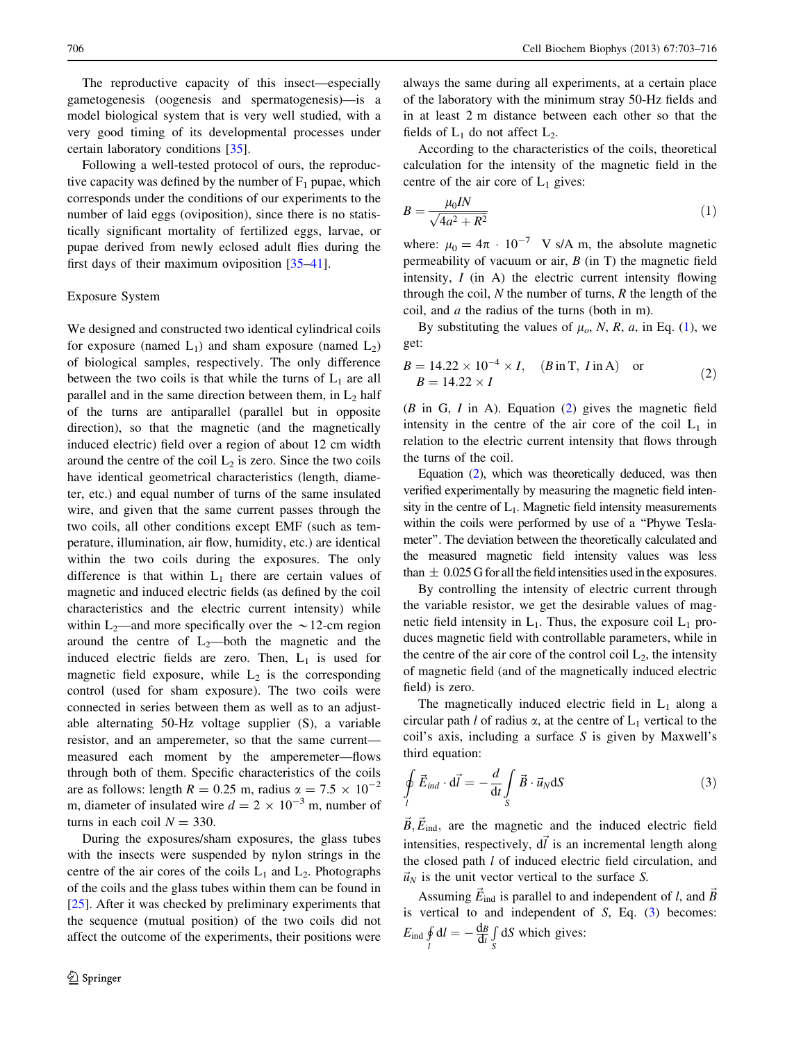<span id="page-3-0"></span>The reproductive capacity of this insect—especially gametogenesis (oogenesis and spermatogenesis)—is a model biological system that is very well studied, with a very good timing of its developmental processes under certain laboratory conditions [[35\]](#page-12-0).

Following a well-tested protocol of ours, the reproductive capacity was defined by the number of  $F_1$  pupae, which corresponds under the conditions of our experiments to the number of laid eggs (oviposition), since there is no statistically significant mortality of fertilized eggs, larvae, or pupae derived from newly eclosed adult flies during the first days of their maximum oviposition [\[35–41](#page-12-0)].

#### Exposure System

We designed and constructed two identical cylindrical coils for exposure (named  $L_1$ ) and sham exposure (named  $L_2$ ) of biological samples, respectively. The only difference between the two coils is that while the turns of  $L_1$  are all parallel and in the same direction between them, in  $L_2$  half of the turns are antiparallel (parallel but in opposite direction), so that the magnetic (and the magnetically induced electric) field over a region of about 12 cm width around the centre of the coil  $L_2$  is zero. Since the two coils have identical geometrical characteristics (length, diameter, etc.) and equal number of turns of the same insulated wire, and given that the same current passes through the two coils, all other conditions except EMF (such as temperature, illumination, air flow, humidity, etc.) are identical within the two coils during the exposures. The only difference is that within  $L_1$  there are certain values of magnetic and induced electric fields (as defined by the coil characteristics and the electric current intensity) while within  $L_2$ —and more specifically over the  $\sim$  12-cm region around the centre of  $L_2$ —both the magnetic and the induced electric fields are zero. Then,  $L_1$  is used for magnetic field exposure, while  $L_2$  is the corresponding control (used for sham exposure). The two coils were connected in series between them as well as to an adjustable alternating 50-Hz voltage supplier (S), a variable resistor, and an amperemeter, so that the same current measured each moment by the amperemeter—flows through both of them. Specific characteristics of the coils are as follows: length  $R = 0.25$  m, radius  $\alpha = 7.5 \times 10^{-2}$ m, diameter of insulated wire  $d = 2 \times 10^{-3}$  m, number of turns in each coil  $N = 330$ .

During the exposures/sham exposures, the glass tubes with the insects were suspended by nylon strings in the centre of the air cores of the coils  $L_1$  and  $L_2$ . Photographs of the coils and the glass tubes within them can be found in [\[25](#page-12-0)]. After it was checked by preliminary experiments that the sequence (mutual position) of the two coils did not affect the outcome of the experiments, their positions were always the same during all experiments, at a certain place of the laboratory with the minimum stray 50-Hz fields and in at least 2 m distance between each other so that the fields of  $L_1$  do not affect  $L_2$ .

According to the characteristics of the coils, theoretical calculation for the intensity of the magnetic field in the centre of the air core of  $L_1$  gives:

$$
B = \frac{\mu_0 I N}{\sqrt{4a^2 + R^2}}\tag{1}
$$

where:  $\mu_0 = 4\pi \cdot 10^{-7}$  V s/A m, the absolute magnetic permeability of vacuum or air,  $B$  (in T) the magnetic field intensity,  $I$  (in A) the electric current intensity flowing through the coil,  $N$  the number of turns,  $R$  the length of the coil, and  $a$  the radius of the turns (both in m).

By substituting the values of  $\mu_o$ , N, R, a, in Eq. (1), we get:

$$
B = 14.22 \times 10^{-4} \times I, \quad (B \text{ in T}, I \text{ in A}) \quad \text{or} \tag{2}
$$
  

$$
B = 14.22 \times I
$$

 $(B \text{ in } G, I \text{ in } A)$ . Equation  $(2)$  gives the magnetic field intensity in the centre of the air core of the coil  $L_1$  in relation to the electric current intensity that flows through the turns of the coil.

Equation (2), which was theoretically deduced, was then verified experimentally by measuring the magnetic field intensity in the centre of  $L_1$ . Magnetic field intensity measurements within the coils were performed by use of a "Phywe Teslameter''. The deviation between the theoretically calculated and the measured magnetic field intensity values was less than  $\pm 0.025$  G for all the field intensities used in the exposures.

By controlling the intensity of electric current through the variable resistor, we get the desirable values of magnetic field intensity in  $L_1$ . Thus, the exposure coil  $L_1$  produces magnetic field with controllable parameters, while in the centre of the air core of the control coil  $L_2$ , the intensity of magnetic field (and of the magnetically induced electric field) is zero.

The magnetically induced electric field in  $L_1$  along a circular path l of radius  $\alpha$ , at the centre of  $L_1$  vertical to the coil's axis, including a surface  $S$  is given by Maxwell's third equation:

$$
\oint_{l} \vec{E}_{ind} \cdot d\vec{l} = -\frac{d}{dt} \int_{S} \vec{B} \cdot \vec{u}_{N} dS
$$
\n(3)

 $\vec{B}, \vec{E}_{ind}$ , are the magnetic and the induced electric field intensities, respectively,  $d\vec{l}$  is an incremental length along the closed path l of induced electric field circulation, and  $\vec{u}_N$  is the unit vector vertical to the surface S.

Assuming  $\vec{E}_{ind}$  is parallel to and independent of l, and  $\vec{B}$ is vertical to and independent of  $S$ , Eq.  $(3)$  becomes:  $E_{\text{ind}}\oint_l$  $dl = -\frac{dB}{dt}$ R S dS which gives: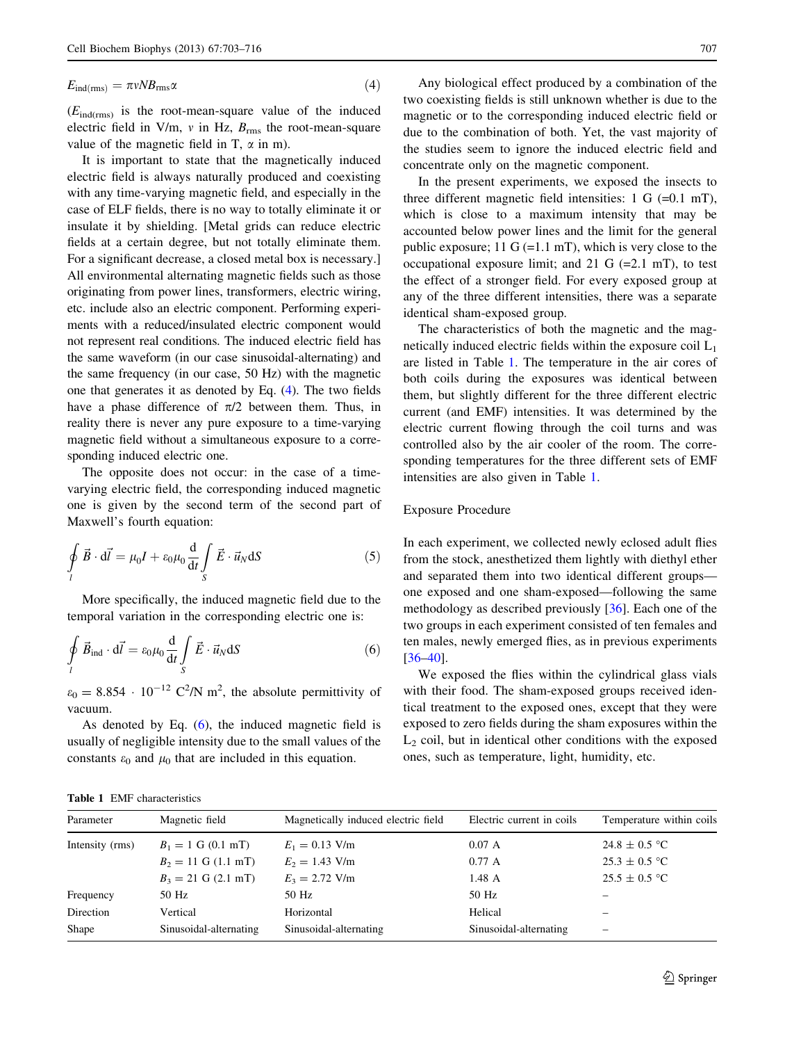<span id="page-4-0"></span>
$$
E_{\text{ind(rms)}} = \pi v N B_{\text{rms}} \alpha \tag{4}
$$

 $(E_{ind(rms)}$  is the root-mean-square value of the induced electric field in V/m,  $v$  in Hz,  $B_{\rm rms}$  the root-mean-square value of the magnetic field in T,  $\alpha$  in m).

It is important to state that the magnetically induced electric field is always naturally produced and coexisting with any time-varying magnetic field, and especially in the case of ELF fields, there is no way to totally eliminate it or insulate it by shielding. [Metal grids can reduce electric fields at a certain degree, but not totally eliminate them. For a significant decrease, a closed metal box is necessary.] All environmental alternating magnetic fields such as those originating from power lines, transformers, electric wiring, etc. include also an electric component. Performing experiments with a reduced/insulated electric component would not represent real conditions. The induced electric field has the same waveform (in our case sinusoidal-alternating) and the same frequency (in our case, 50 Hz) with the magnetic one that generates it as denoted by Eq. ([4](#page-3-0)). The two fields have a phase difference of  $\pi/2$  between them. Thus, in reality there is never any pure exposure to a time-varying magnetic field without a simultaneous exposure to a corresponding induced electric one.

The opposite does not occur: in the case of a timevarying electric field, the corresponding induced magnetic one is given by the second term of the second part of Maxwell's fourth equation:

$$
\oint\limits_l \vec{B} \cdot d\vec{l} = \mu_0 I + \varepsilon_0 \mu_0 \frac{d}{dt} \int\limits_S \vec{E} \cdot \vec{u}_N dS \tag{5}
$$

More specifically, the induced magnetic field due to the temporal variation in the corresponding electric one is:

$$
\oint_{l} \vec{B}_{\text{ind}} \cdot d\vec{l} = \varepsilon_0 \mu_0 \frac{d}{dt} \int_{S} \vec{E} \cdot \vec{u}_N dS \tag{6}
$$

 $\varepsilon_0 = 8.854 \cdot 10^{-12} \text{ C}^2/\text{N} \text{ m}^2$ , the absolute permittivity of vacuum.

As denoted by Eq.  $(6)$ , the induced magnetic field is usually of negligible intensity due to the small values of the constants  $\varepsilon_0$  and  $\mu_0$  that are included in this equation.

Any biological effect produced by a combination of the two coexisting fields is still unknown whether is due to the magnetic or to the corresponding induced electric field or due to the combination of both. Yet, the vast majority of the studies seem to ignore the induced electric field and concentrate only on the magnetic component.

In the present experiments, we exposed the insects to three different magnetic field intensities:  $1 \text{ G } (=0.1 \text{ mT})$ , which is close to a maximum intensity that may be accounted below power lines and the limit for the general public exposure;  $11 \text{ G} (=1.1 \text{ mT})$ , which is very close to the occupational exposure limit; and 21 G  $(=2.1 \text{ mT})$ , to test the effect of a stronger field. For every exposed group at any of the three different intensities, there was a separate identical sham-exposed group.

The characteristics of both the magnetic and the magnetically induced electric fields within the exposure coil  $L_1$ are listed in Table 1. The temperature in the air cores of both coils during the exposures was identical between them, but slightly different for the three different electric current (and EMF) intensities. It was determined by the electric current flowing through the coil turns and was controlled also by the air cooler of the room. The corresponding temperatures for the three different sets of EMF intensities are also given in Table 1.

#### Exposure Procedure

In each experiment, we collected newly eclosed adult flies from the stock, anesthetized them lightly with diethyl ether and separated them into two identical different groups one exposed and one sham-exposed—following the same methodology as described previously [\[36](#page-12-0)]. Each one of the two groups in each experiment consisted of ten females and ten males, newly emerged flies, as in previous experiments [\[36–40](#page-12-0)].

We exposed the flies within the cylindrical glass vials with their food. The sham-exposed groups received identical treatment to the exposed ones, except that they were exposed to zero fields during the sham exposures within the  $L<sub>2</sub>$  coil, but in identical other conditions with the exposed ones, such as temperature, light, humidity, etc.

|  | <b>Table 1 EMF</b> characteristics |  |
|--|------------------------------------|--|
|  |                                    |  |

| Magnetic field<br>Parameter |                        | Magnetically induced electric field | Electric current in coils | Temperature within coils |  |
|-----------------------------|------------------------|-------------------------------------|---------------------------|--------------------------|--|
| Intensity (rms)             | $B_1 = 1$ G (0.1 mT)   | $E_1 = 0.13$ V/m                    | 0.07 A                    | $24.8 \pm 0.5$ °C        |  |
|                             | $B_2 = 11$ G (1.1 mT)  | $E_2 = 1.43$ V/m                    | 0.77A                     | $25.3 \pm 0.5$ °C        |  |
|                             | $B_3 = 21$ G (2.1 mT)  | $E_3 = 2.72$ V/m                    | $1.48 \text{ A}$          | $25.5 \pm 0.5$ °C        |  |
| Frequency                   | 50 Hz                  | 50 Hz                               | 50 Hz                     |                          |  |
| Direction                   | Vertical               | Horizontal                          | Helical                   |                          |  |
| Shape                       | Sinusoidal-alternating | Sinusoidal-alternating              | Sinusoidal-alternating    | $\overline{\phantom{0}}$ |  |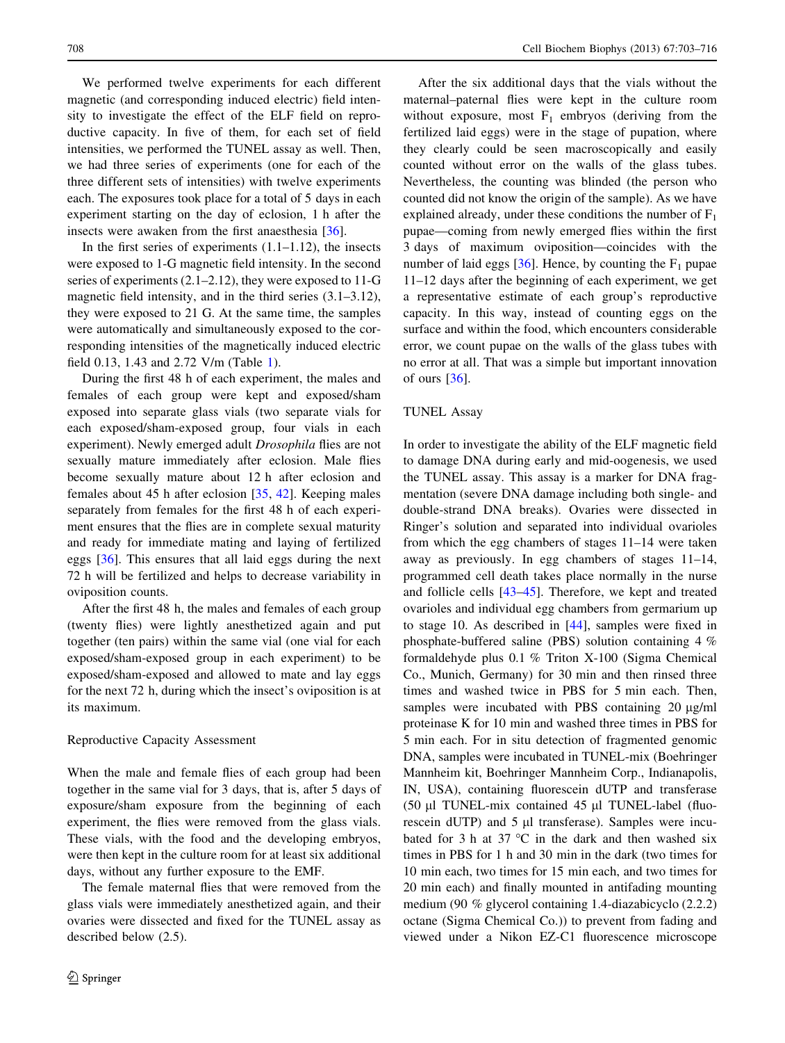We performed twelve experiments for each different magnetic (and corresponding induced electric) field intensity to investigate the effect of the ELF field on reproductive capacity. In five of them, for each set of field intensities, we performed the TUNEL assay as well. Then, we had three series of experiments (one for each of the three different sets of intensities) with twelve experiments each. The exposures took place for a total of 5 days in each experiment starting on the day of eclosion, 1 h after the insects were awaken from the first anaesthesia [[36\]](#page-12-0).

In the first series of experiments  $(1.1-1.12)$ , the insects were exposed to 1-G magnetic field intensity. In the second series of experiments (2.1–2.12), they were exposed to 11-G magnetic field intensity, and in the third series (3.1–3.12), they were exposed to 21 G. At the same time, the samples were automatically and simultaneously exposed to the corresponding intensities of the magnetically induced electric field 0.13, 1.43 and 2.72 V/m (Table [1\)](#page-4-0).

During the first 48 h of each experiment, the males and females of each group were kept and exposed/sham exposed into separate glass vials (two separate vials for each exposed/sham-exposed group, four vials in each experiment). Newly emerged adult Drosophila flies are not sexually mature immediately after eclosion. Male flies become sexually mature about 12 h after eclosion and females about 45 h after eclosion [[35,](#page-12-0) [42\]](#page-12-0). Keeping males separately from females for the first 48 h of each experiment ensures that the flies are in complete sexual maturity and ready for immediate mating and laying of fertilized eggs [[36\]](#page-12-0). This ensures that all laid eggs during the next 72 h will be fertilized and helps to decrease variability in oviposition counts.

After the first 48 h, the males and females of each group (twenty flies) were lightly anesthetized again and put together (ten pairs) within the same vial (one vial for each exposed/sham-exposed group in each experiment) to be exposed/sham-exposed and allowed to mate and lay eggs for the next 72 h, during which the insect's oviposition is at its maximum.

#### Reproductive Capacity Assessment

When the male and female flies of each group had been together in the same vial for 3 days, that is, after 5 days of exposure/sham exposure from the beginning of each experiment, the flies were removed from the glass vials. These vials, with the food and the developing embryos, were then kept in the culture room for at least six additional days, without any further exposure to the EMF.

The female maternal flies that were removed from the glass vials were immediately anesthetized again, and their ovaries were dissected and fixed for the TUNEL assay as described below (2.5).

After the six additional days that the vials without the maternal–paternal flies were kept in the culture room without exposure, most  $F_1$  embryos (deriving from the fertilized laid eggs) were in the stage of pupation, where they clearly could be seen macroscopically and easily counted without error on the walls of the glass tubes. Nevertheless, the counting was blinded (the person who counted did not know the origin of the sample). As we have explained already, under these conditions the number of  $F_1$ pupae—coming from newly emerged flies within the first 3 days of maximum oviposition—coincides with the number of laid eggs  $[36]$ . Hence, by counting the  $F_1$  pupae 11–12 days after the beginning of each experiment, we get a representative estimate of each group's reproductive capacity. In this way, instead of counting eggs on the surface and within the food, which encounters considerable error, we count pupae on the walls of the glass tubes with no error at all. That was a simple but important innovation of ours  $[36]$  $[36]$ .

#### TUNEL Assay

In order to investigate the ability of the ELF magnetic field to damage DNA during early and mid-oogenesis, we used the TUNEL assay. This assay is a marker for DNA fragmentation (severe DNA damage including both single- and double-strand DNA breaks). Ovaries were dissected in Ringer's solution and separated into individual ovarioles from which the egg chambers of stages 11–14 were taken away as previously. In egg chambers of stages 11–14, programmed cell death takes place normally in the nurse and follicle cells [\[43](#page-12-0)[–45\]](#page-13-0). Therefore, we kept and treated ovarioles and individual egg chambers from germarium up to stage 10. As described in [\[44](#page-13-0)], samples were fixed in phosphate-buffered saline (PBS) solution containing 4 % formaldehyde plus 0.1 % Triton X-100 (Sigma Chemical Co., Munich, Germany) for 30 min and then rinsed three times and washed twice in PBS for 5 min each. Then, samples were incubated with PBS containing  $20 \mu g/ml$ proteinase K for 10 min and washed three times in PBS for 5 min each. For in situ detection of fragmented genomic DNA, samples were incubated in TUNEL-mix (Boehringer Mannheim kit, Boehringer Mannheim Corp., Indianapolis, IN, USA), containing fluorescein dUTP and transferase (50  $\mu$ I TUNEL-mix contained 45  $\mu$ I TUNEL-label (fluorescein dUTP) and  $5 \mu l$  transferase). Samples were incubated for 3 h at 37  $\degree$ C in the dark and then washed six times in PBS for 1 h and 30 min in the dark (two times for 10 min each, two times for 15 min each, and two times for 20 min each) and finally mounted in antifading mounting medium (90 % glycerol containing 1.4-diazabicyclo (2.2.2) octane (Sigma Chemical Co.)) to prevent from fading and viewed under a Nikon EZ-C1 fluorescence microscope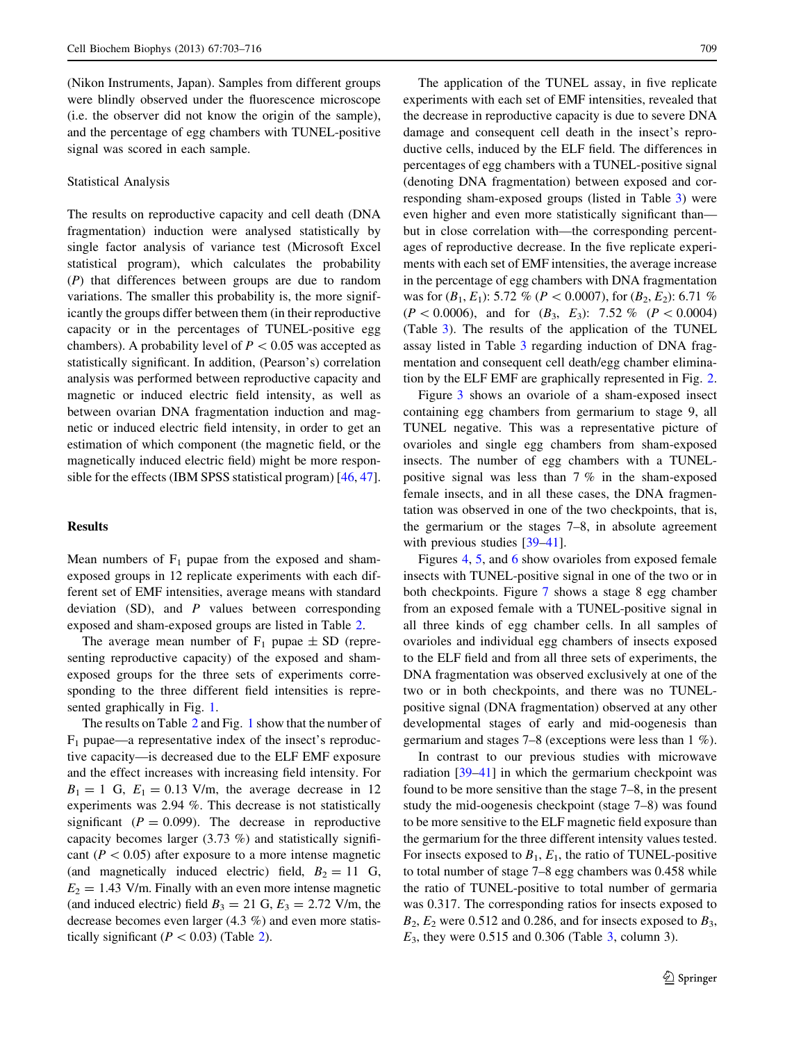(Nikon Instruments, Japan). Samples from different groups were blindly observed under the fluorescence microscope (i.e. the observer did not know the origin of the sample), and the percentage of egg chambers with TUNEL-positive signal was scored in each sample.

# Statistical Analysis

The results on reproductive capacity and cell death (DNA fragmentation) induction were analysed statistically by single factor analysis of variance test (Microsoft Excel statistical program), which calculates the probability (P) that differences between groups are due to random variations. The smaller this probability is, the more significantly the groups differ between them (in their reproductive capacity or in the percentages of TUNEL-positive egg chambers). A probability level of  $P < 0.05$  was accepted as statistically significant. In addition, (Pearson's) correlation analysis was performed between reproductive capacity and magnetic or induced electric field intensity, as well as between ovarian DNA fragmentation induction and magnetic or induced electric field intensity, in order to get an estimation of which component (the magnetic field, or the magnetically induced electric field) might be more responsible for the effects (IBM SPSS statistical program) [[46,](#page-13-0) [47](#page-13-0)].

#### Results

Mean numbers of  $F_1$  pupae from the exposed and shamexposed groups in 12 replicate experiments with each different set of EMF intensities, average means with standard deviation  $(SD)$ , and  $P$  values between corresponding exposed and sham-exposed groups are listed in Table [2](#page-7-0).

The average mean number of  $F_1$  pupae  $\pm$  SD (representing reproductive capacity) of the exposed and shamexposed groups for the three sets of experiments corresponding to the three different field intensities is represented graphically in Fig. [1.](#page-8-0)

The results on Table [2](#page-7-0) and Fig. [1](#page-4-0) show that the number of  $F_1$  pupae—a representative index of the insect's reproductive capacity—is decreased due to the ELF EMF exposure and the effect increases with increasing field intensity. For  $B_1 = 1$  G,  $E_1 = 0.13$  V/m, the average decrease in 12 experiments was 2.94 %. This decrease is not statistically significant ( $P = 0.099$ ). The decrease in reproductive capacity becomes larger (3.73 %) and statistically significant ( $P < 0.05$ ) after exposure to a more intense magnetic (and magnetically induced electric) field,  $B_2 = 11$  G,  $E_2 = 1.43$  V/m. Finally with an even more intense magnetic (and induced electric) field  $B_3 = 21$  G,  $E_3 = 2.72$  V/m, the decrease becomes even larger (4.3 %) and even more statistically significant ( $P < 0.03$ ) (Table [2](#page-7-0)).

The application of the TUNEL assay, in five replicate experiments with each set of EMF intensities, revealed that the decrease in reproductive capacity is due to severe DNA damage and consequent cell death in the insect's reproductive cells, induced by the ELF field. The differences in percentages of egg chambers with a TUNEL-positive signal (denoting DNA fragmentation) between exposed and corresponding sham-exposed groups (listed in Table [3\)](#page-8-0) were even higher and even more statistically significant than but in close correlation with—the corresponding percentages of reproductive decrease. In the five replicate experiments with each set of EMF intensities, the average increase in the percentage of egg chambers with DNA fragmentation was for  $(B_1, E_1)$ : 5.72 % ( $P < 0.0007$ ), for  $(B_2, E_2)$ : 6.71 %  $(P < 0.0006)$ , and for  $(B_3, E_3)$ : 7.52 %  $(P < 0.0004)$ (Table [3\)](#page-8-0). The results of the application of the TUNEL assay listed in Table [3](#page-8-0) regarding induction of DNA fragmentation and consequent cell death/egg chamber elimination by the ELF EMF are graphically represented in Fig. [2.](#page-8-0)

Figure [3](#page-9-0) shows an ovariole of a sham-exposed insect containing egg chambers from germarium to stage 9, all TUNEL negative. This was a representative picture of ovarioles and single egg chambers from sham-exposed insects. The number of egg chambers with a TUNELpositive signal was less than 7 % in the sham-exposed female insects, and in all these cases, the DNA fragmentation was observed in one of the two checkpoints, that is, the germarium or the stages 7–8, in absolute agreement with previous studies [\[39–41](#page-12-0)].

Figures [4,](#page-9-0) [5,](#page-9-0) and [6](#page-9-0) show ovarioles from exposed female insects with TUNEL-positive signal in one of the two or in both checkpoints. Figure [7](#page-9-0) shows a stage 8 egg chamber from an exposed female with a TUNEL-positive signal in all three kinds of egg chamber cells. In all samples of ovarioles and individual egg chambers of insects exposed to the ELF field and from all three sets of experiments, the DNA fragmentation was observed exclusively at one of the two or in both checkpoints, and there was no TUNELpositive signal (DNA fragmentation) observed at any other developmental stages of early and mid-oogenesis than germarium and stages 7–8 (exceptions were less than 1 %).

In contrast to our previous studies with microwave radiation [\[39–41](#page-12-0)] in which the germarium checkpoint was found to be more sensitive than the stage 7–8, in the present study the mid-oogenesis checkpoint (stage 7–8) was found to be more sensitive to the ELF magnetic field exposure than the germarium for the three different intensity values tested. For insects exposed to  $B_1$ ,  $E_1$ , the ratio of TUNEL-positive to total number of stage 7–8 egg chambers was 0.458 while the ratio of TUNEL-positive to total number of germaria was 0.317. The corresponding ratios for insects exposed to  $B_2$ ,  $E_2$  were 0.512 and 0.286, and for insects exposed to  $B_3$ ,  $E_3$ , they were 0.515 and 0.306 (Table [3,](#page-8-0) column 3).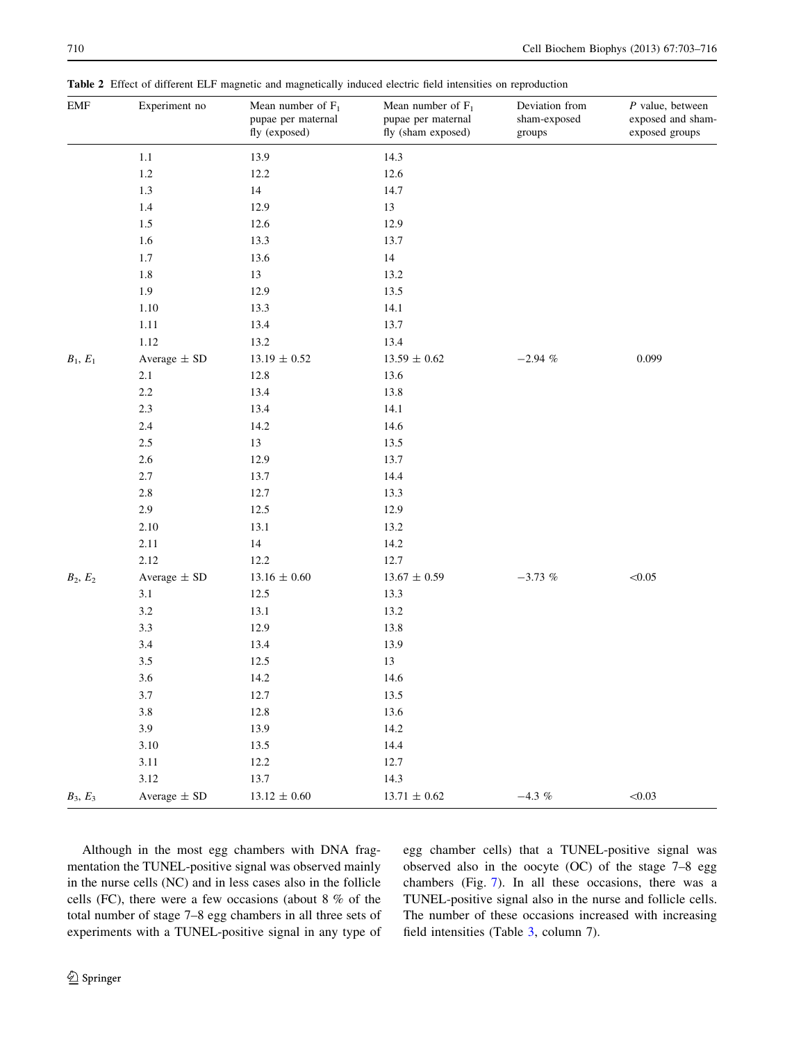<span id="page-7-0"></span>Table 2 Effect of different ELF magnetic and magnetically induced electric field intensities on reproduction

| ${\rm EMF}$ | Experiment no    | Mean number of $F_1$<br>pupae per maternal<br>fly (exposed) | Mean number of $F_1$<br>pupae per maternal<br>fly (sham exposed) | Deviation from<br>sham-exposed<br>groups | $P$ value, between<br>exposed and sham-<br>exposed groups |  |
|-------------|------------------|-------------------------------------------------------------|------------------------------------------------------------------|------------------------------------------|-----------------------------------------------------------|--|
|             | $1.1\,$          | 13.9                                                        | 14.3                                                             |                                          |                                                           |  |
|             | $1.2\,$          | 12.2                                                        | 12.6                                                             |                                          |                                                           |  |
|             | 1.3              | 14                                                          | 14.7                                                             |                                          |                                                           |  |
|             | 1.4              | 12.9                                                        | 13                                                               |                                          |                                                           |  |
|             | 1.5              | 12.6                                                        | 12.9                                                             |                                          |                                                           |  |
|             | 1.6              | 13.3                                                        | 13.7                                                             |                                          |                                                           |  |
|             | 1.7              | 13.6                                                        | $14\,$                                                           |                                          |                                                           |  |
|             | $1.8\,$          | 13                                                          | 13.2                                                             |                                          |                                                           |  |
|             | 1.9              | 12.9                                                        | 13.5                                                             |                                          |                                                           |  |
|             | 1.10             | 13.3                                                        | 14.1                                                             |                                          |                                                           |  |
|             | 1.11             | 13.4                                                        | 13.7                                                             |                                          |                                                           |  |
|             | 1.12             | 13.2                                                        | 13.4                                                             |                                          |                                                           |  |
| $B_1, E_1$  | Average $\pm$ SD | $13.19\,\pm\,0.52$                                          | $13.59\pm0.62$                                                   | $-2.94$ $\%$                             | 0.099                                                     |  |
|             | 2.1              | 12.8                                                        | 13.6                                                             |                                          |                                                           |  |
|             | $2.2\,$          | 13.4                                                        | 13.8                                                             |                                          |                                                           |  |
|             | $2.3\,$          | 13.4                                                        | 14.1                                                             |                                          |                                                           |  |
|             | $2.4\,$          | 14.2                                                        | 14.6                                                             |                                          |                                                           |  |
|             | $2.5\,$          | 13                                                          | 13.5                                                             |                                          |                                                           |  |
|             | $2.6\,$          | 12.9                                                        | 13.7                                                             |                                          |                                                           |  |
|             | 2.7              | 13.7                                                        | 14.4                                                             |                                          |                                                           |  |
|             | $2.8\,$          | 12.7                                                        | 13.3                                                             |                                          |                                                           |  |
|             | 2.9              | 12.5                                                        | 12.9                                                             |                                          |                                                           |  |
|             | 2.10             | 13.1                                                        | 13.2                                                             |                                          |                                                           |  |
|             | 2.11             | $14\,$                                                      | 14.2                                                             |                                          |                                                           |  |
|             | 2.12             | 12.2                                                        | 12.7                                                             |                                          |                                                           |  |
| $B_2, E_2$  | Average $\pm$ SD | $13.16\,\pm\,0.60$                                          | $13.67\pm0.59$                                                   | $-3.73~\%$                               | < 0.05                                                    |  |
|             | 3.1              | 12.5                                                        | 13.3                                                             |                                          |                                                           |  |
|             | $3.2\,$          | 13.1                                                        | 13.2                                                             |                                          |                                                           |  |
|             | 3.3              | 12.9                                                        | 13.8                                                             |                                          |                                                           |  |
|             | 3.4              | 13.4                                                        | 13.9                                                             |                                          |                                                           |  |
|             | 3.5              | 12.5                                                        | 13                                                               |                                          |                                                           |  |
|             | 3.6              | 14.2                                                        | 14.6                                                             |                                          |                                                           |  |
|             | 3.7              | 12.7                                                        | 13.5                                                             |                                          |                                                           |  |
|             | $3.8\,$          | 12.8                                                        | 13.6                                                             |                                          |                                                           |  |
|             | 3.9              | 13.9                                                        | 14.2                                                             |                                          |                                                           |  |
|             | 3.10             | 13.5                                                        | 14.4                                                             |                                          |                                                           |  |
|             | 3.11             | 12.2                                                        | 12.7                                                             |                                          |                                                           |  |
|             | 3.12             | 13.7                                                        | 14.3                                                             |                                          |                                                           |  |
| $B_3, E_3$  | Average $\pm$ SD | $13.12 \pm 0.60$                                            | $13.71\,\pm\,0.62$                                               | $-4.3~\%$                                | < 0.03                                                    |  |

Although in the most egg chambers with DNA fragmentation the TUNEL-positive signal was observed mainly in the nurse cells (NC) and in less cases also in the follicle cells (FC), there were a few occasions (about 8 % of the total number of stage 7–8 egg chambers in all three sets of experiments with a TUNEL-positive signal in any type of egg chamber cells) that a TUNEL-positive signal was observed also in the oocyte (OC) of the stage 7–8 egg chambers (Fig. [7\)](#page-9-0). In all these occasions, there was a TUNEL-positive signal also in the nurse and follicle cells. The number of these occasions increased with increasing field intensities (Table [3,](#page-8-0) column 7).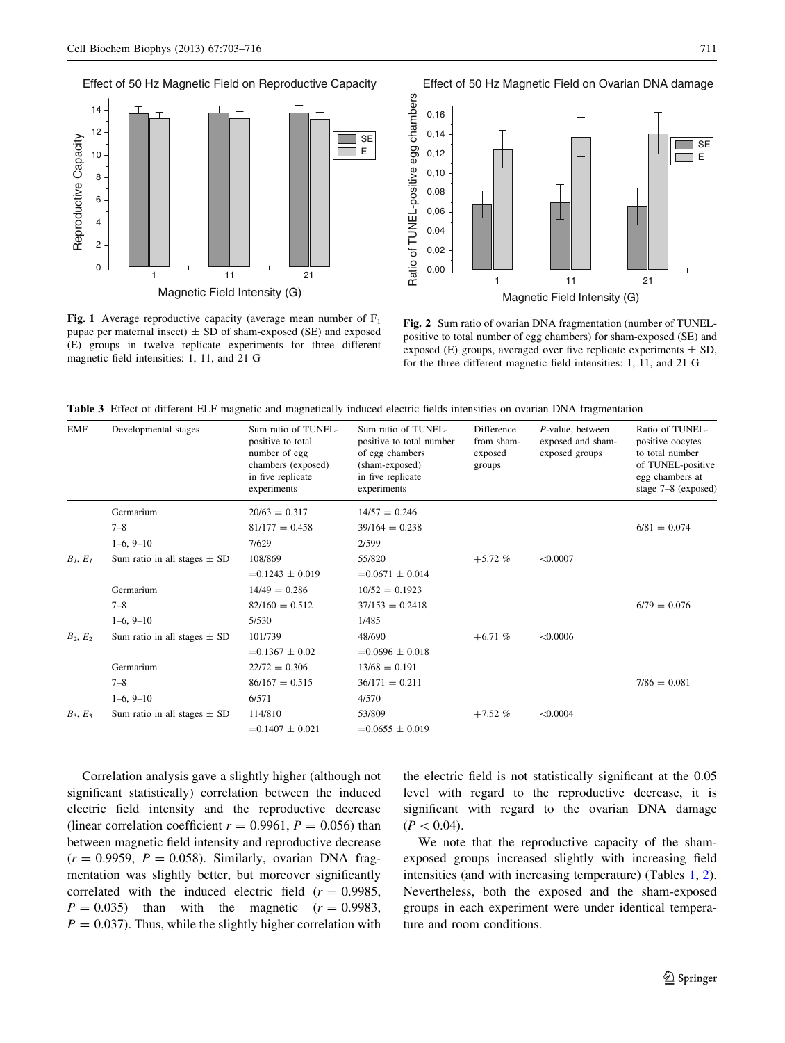Effect of 50 Hz Magnetic Field on Reproductive Capacity

<span id="page-8-0"></span>

**Fig. 1** Average reproductive capacity (average mean number of  $F_1$ pupae per maternal insect)  $\pm$  SD of sham-exposed (SE) and exposed (E) groups in twelve replicate experiments for three different magnetic field intensities: 1, 11, and 21 G

Effect of 50 Hz Magnetic Field on Ovarian DNA damage



Fig. 2 Sum ratio of ovarian DNA fragmentation (number of TUNELpositive to total number of egg chambers) for sham-exposed (SE) and exposed (E) groups, averaged over five replicate experiments  $\pm$  SD, for the three different magnetic field intensities: 1, 11, and 21 G

|  |  |  |  |  |  |  |  |  |  |  |  |  |  | Table 3 Effect of different ELF magnetic and magnetically induced electric fields intensities on ovarian DNA fragmentation |
|--|--|--|--|--|--|--|--|--|--|--|--|--|--|----------------------------------------------------------------------------------------------------------------------------|
|--|--|--|--|--|--|--|--|--|--|--|--|--|--|----------------------------------------------------------------------------------------------------------------------------|

| <b>EMF</b> | Developmental stages             | Sum ratio of TUNEL-<br>positive to total<br>number of egg<br>chambers (exposed)<br>in five replicate<br>experiments | Sum ratio of TUNEL-<br>positive to total number<br>of egg chambers<br>(sham-exposed)<br>in five replicate<br>experiments | <b>Difference</b><br>from sham-<br>exposed<br>groups | P-value, between<br>exposed and sham-<br>exposed groups | Ratio of TUNEL-<br>positive oocytes<br>to total number<br>of TUNEL-positive<br>egg chambers at<br>stage 7-8 (exposed) |
|------------|----------------------------------|---------------------------------------------------------------------------------------------------------------------|--------------------------------------------------------------------------------------------------------------------------|------------------------------------------------------|---------------------------------------------------------|-----------------------------------------------------------------------------------------------------------------------|
|            | Germarium                        | $20/63 = 0.317$                                                                                                     | $14/57 = 0.246$                                                                                                          |                                                      |                                                         |                                                                                                                       |
|            | $7 - 8$                          | $81/177 = 0.458$                                                                                                    | $39/164 = 0.238$                                                                                                         |                                                      |                                                         | $6/81 = 0.074$                                                                                                        |
|            | $1-6, 9-10$                      | 7/629                                                                                                               | 2/599                                                                                                                    |                                                      |                                                         |                                                                                                                       |
| $B_I, E_I$ | Sum ratio in all stages $\pm$ SD | 108/869                                                                                                             | 55/820                                                                                                                   | $+5.72%$                                             | < 0.0007                                                |                                                                                                                       |
|            |                                  | $=0.1243 \pm 0.019$                                                                                                 | $=0.0671 \pm 0.014$                                                                                                      |                                                      |                                                         |                                                                                                                       |
|            | Germarium                        | $14/49 = 0.286$                                                                                                     | $10/52 = 0.1923$                                                                                                         |                                                      |                                                         |                                                                                                                       |
|            | $7 - 8$                          | $82/160 = 0.512$                                                                                                    | $37/153 = 0.2418$                                                                                                        |                                                      |                                                         | $6/79 = 0.076$                                                                                                        |
|            | $1-6, 9-10$                      | 5/530                                                                                                               | 1/485                                                                                                                    |                                                      |                                                         |                                                                                                                       |
| $B_2, E_2$ | Sum ratio in all stages $\pm$ SD | 101/739                                                                                                             | 48/690                                                                                                                   | $+6.71%$                                             | < 0.0006                                                |                                                                                                                       |
|            |                                  | $=0.1367 \pm 0.02$                                                                                                  | $=0.0696 \pm 0.018$                                                                                                      |                                                      |                                                         |                                                                                                                       |
|            | Germarium                        | $22/72 = 0.306$                                                                                                     | $13/68 = 0.191$                                                                                                          |                                                      |                                                         |                                                                                                                       |
|            | $7 - 8$                          | $86/167 = 0.515$                                                                                                    | $36/171 = 0.211$                                                                                                         |                                                      |                                                         | $7/86 = 0.081$                                                                                                        |
|            | $1-6, 9-10$                      | 6/571                                                                                                               | 4/570                                                                                                                    |                                                      |                                                         |                                                                                                                       |
| $B_3, E_3$ | Sum ratio in all stages $\pm$ SD | 114/810                                                                                                             | 53/809                                                                                                                   | $+7.52%$                                             | < 0.0004                                                |                                                                                                                       |
|            |                                  | $=0.1407 \pm 0.021$                                                                                                 | $=0.0655 \pm 0.019$                                                                                                      |                                                      |                                                         |                                                                                                                       |

Correlation analysis gave a slightly higher (although not significant statistically) correlation between the induced electric field intensity and the reproductive decrease (linear correlation coefficient  $r = 0.9961$ ,  $P = 0.056$ ) than between magnetic field intensity and reproductive decrease  $(r = 0.9959, P = 0.058)$ . Similarly, ovarian DNA fragmentation was slightly better, but moreover significantly correlated with the induced electric field  $(r = 0.9985,$  $P = 0.035$ ) than with the magnetic  $(r = 0.9983,$  $P = 0.037$ . Thus, while the slightly higher correlation with the electric field is not statistically significant at the 0.05 level with regard to the reproductive decrease, it is significant with regard to the ovarian DNA damage  $(P<0.04)$ .

We note that the reproductive capacity of the shamexposed groups increased slightly with increasing field intensities (and with increasing temperature) (Tables [1,](#page-4-0) [2](#page-7-0)). Nevertheless, both the exposed and the sham-exposed groups in each experiment were under identical temperature and room conditions.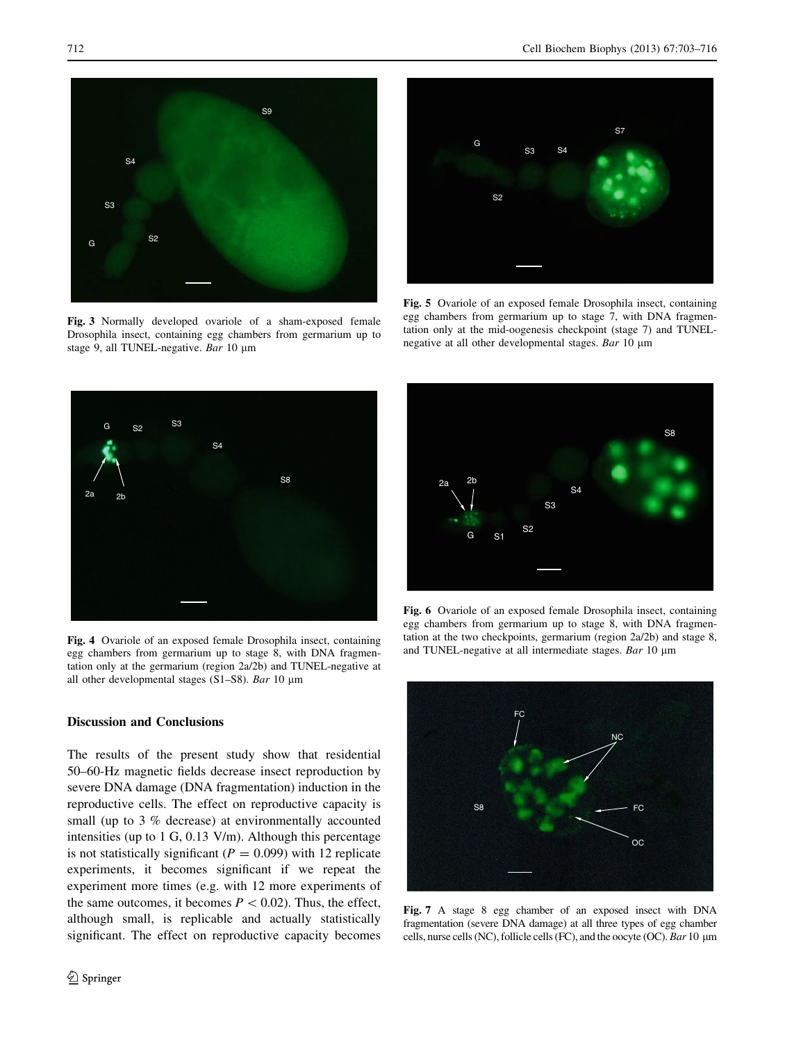<span id="page-9-0"></span>

Fig. 3 Normally developed ovariole of a sham-exposed female Drosophila insect, containing egg chambers from germarium up to stage 9, all TUNEL-negative. Bar 10 µm



Fig. 5 Ovariole of an exposed female Drosophila insect, containing egg chambers from germarium up to stage 7, with DNA fragmentation only at the mid-oogenesis checkpoint (stage 7) and TUNELnegative at all other developmental stages. Bar 10 µm



Fig. 4 Ovariole of an exposed female Drosophila insect, containing egg chambers from germarium up to stage 8, with DNA fragmentation only at the germarium (region 2a/2b) and TUNEL-negative at all other developmental stages (S1–S8). Bar 10  $\mu$ m

# 2a 2b G S8 S1 S2 S3 S4

Fig. 6 Ovariole of an exposed female Drosophila insect, containing egg chambers from germarium up to stage 8, with DNA fragmentation at the two checkpoints, germarium (region 2a/2b) and stage 8, and TUNEL-negative at all intermediate stages. Bar  $10 \mu m$ 



Fig. 7 A stage 8 egg chamber of an exposed insect with DNA fragmentation (severe DNA damage) at all three types of egg chamber cells, nurse cells (NC), follicle cells (FC), and the oocyte (OC). Bar 10 µm

# Discussion and Conclusions

The results of the present study show that residential 50–60-Hz magnetic fields decrease insect reproduction by severe DNA damage (DNA fragmentation) induction in the reproductive cells. The effect on reproductive capacity is small (up to 3 % decrease) at environmentally accounted intensities (up to 1 G, 0.13 V/m). Although this percentage is not statistically significant ( $P = 0.099$ ) with 12 replicate experiments, it becomes significant if we repeat the experiment more times (e.g. with 12 more experiments of the same outcomes, it becomes  $P < 0.02$ ). Thus, the effect, although small, is replicable and actually statistically significant. The effect on reproductive capacity becomes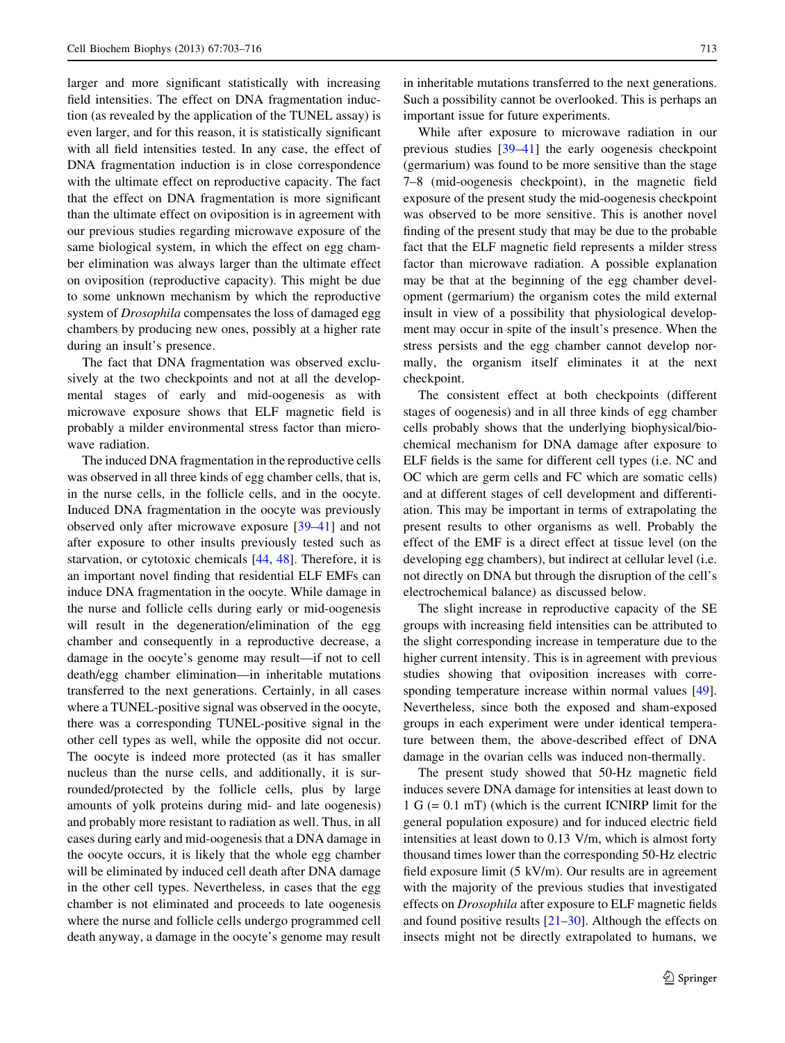larger and more significant statistically with increasing field intensities. The effect on DNA fragmentation induction (as revealed by the application of the TUNEL assay) is even larger, and for this reason, it is statistically significant with all field intensities tested. In any case, the effect of DNA fragmentation induction is in close correspondence with the ultimate effect on reproductive capacity. The fact that the effect on DNA fragmentation is more significant than the ultimate effect on oviposition is in agreement with our previous studies regarding microwave exposure of the same biological system, in which the effect on egg chamber elimination was always larger than the ultimate effect on oviposition (reproductive capacity). This might be due to some unknown mechanism by which the reproductive system of *Drosophila* compensates the loss of damaged egg chambers by producing new ones, possibly at a higher rate during an insult's presence.

The fact that DNA fragmentation was observed exclusively at the two checkpoints and not at all the developmental stages of early and mid-oogenesis as with microwave exposure shows that ELF magnetic field is probably a milder environmental stress factor than microwave radiation.

The induced DNA fragmentation in the reproductive cells was observed in all three kinds of egg chamber cells, that is, in the nurse cells, in the follicle cells, and in the oocyte. Induced DNA fragmentation in the oocyte was previously observed only after microwave exposure [\[39–41](#page-12-0)] and not after exposure to other insults previously tested such as starvation, or cytotoxic chemicals [\[44](#page-13-0), [48\]](#page-13-0). Therefore, it is an important novel finding that residential ELF EMFs can induce DNA fragmentation in the oocyte. While damage in the nurse and follicle cells during early or mid-oogenesis will result in the degeneration/elimination of the egg chamber and consequently in a reproductive decrease, a damage in the oocyte's genome may result—if not to cell death/egg chamber elimination—in inheritable mutations transferred to the next generations. Certainly, in all cases where a TUNEL-positive signal was observed in the oocyte, there was a corresponding TUNEL-positive signal in the other cell types as well, while the opposite did not occur. The oocyte is indeed more protected (as it has smaller nucleus than the nurse cells, and additionally, it is surrounded/protected by the follicle cells, plus by large amounts of yolk proteins during mid- and late oogenesis) and probably more resistant to radiation as well. Thus, in all cases during early and mid-oogenesis that a DNA damage in the oocyte occurs, it is likely that the whole egg chamber will be eliminated by induced cell death after DNA damage in the other cell types. Nevertheless, in cases that the egg chamber is not eliminated and proceeds to late oogenesis where the nurse and follicle cells undergo programmed cell death anyway, a damage in the oocyte's genome may result in inheritable mutations transferred to the next generations. Such a possibility cannot be overlooked. This is perhaps an important issue for future experiments.

While after exposure to microwave radiation in our previous studies [\[39–41](#page-12-0)] the early oogenesis checkpoint (germarium) was found to be more sensitive than the stage 7–8 (mid-oogenesis checkpoint), in the magnetic field exposure of the present study the mid-oogenesis checkpoint was observed to be more sensitive. This is another novel finding of the present study that may be due to the probable fact that the ELF magnetic field represents a milder stress factor than microwave radiation. A possible explanation may be that at the beginning of the egg chamber development (germarium) the organism cotes the mild external insult in view of a possibility that physiological development may occur in spite of the insult's presence. When the stress persists and the egg chamber cannot develop normally, the organism itself eliminates it at the next checkpoint.

The consistent effect at both checkpoints (different stages of oogenesis) and in all three kinds of egg chamber cells probably shows that the underlying biophysical/biochemical mechanism for DNA damage after exposure to ELF fields is the same for different cell types (i.e. NC and OC which are germ cells and FC which are somatic cells) and at different stages of cell development and differentiation. This may be important in terms of extrapolating the present results to other organisms as well. Probably the effect of the EMF is a direct effect at tissue level (on the developing egg chambers), but indirect at cellular level (i.e. not directly on DNA but through the disruption of the cell's electrochemical balance) as discussed below.

The slight increase in reproductive capacity of the SE groups with increasing field intensities can be attributed to the slight corresponding increase in temperature due to the higher current intensity. This is in agreement with previous studies showing that oviposition increases with corresponding temperature increase within normal values [\[49](#page-13-0)]. Nevertheless, since both the exposed and sham-exposed groups in each experiment were under identical temperature between them, the above-described effect of DNA damage in the ovarian cells was induced non-thermally.

The present study showed that 50-Hz magnetic field induces severe DNA damage for intensities at least down to 1 G (= 0.1 mT) (which is the current ICNIRP limit for the general population exposure) and for induced electric field intensities at least down to 0.13 V/m, which is almost forty thousand times lower than the corresponding 50-Hz electric field exposure limit (5 kV/m). Our results are in agreement with the majority of the previous studies that investigated effects on Drosophila after exposure to ELF magnetic fields and found positive results  $[21-30]$ . Although the effects on insects might not be directly extrapolated to humans, we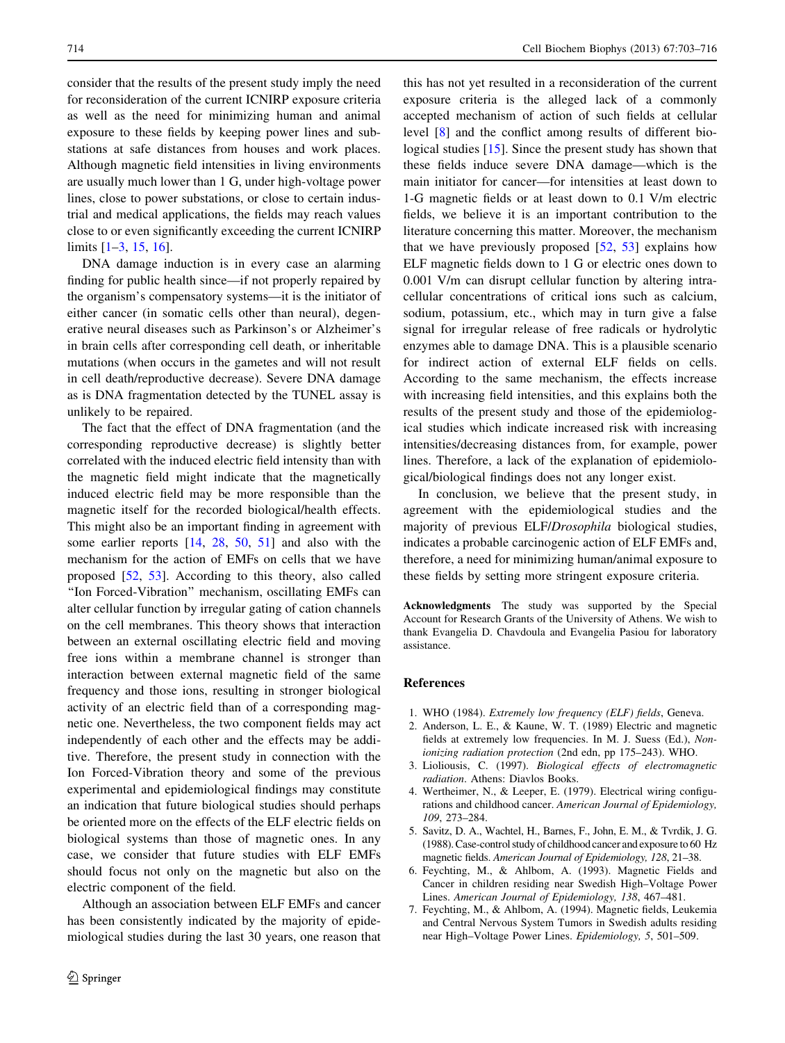<span id="page-11-0"></span>consider that the results of the present study imply the need for reconsideration of the current ICNIRP exposure criteria as well as the need for minimizing human and animal exposure to these fields by keeping power lines and substations at safe distances from houses and work places. Although magnetic field intensities in living environments are usually much lower than 1 G, under high-voltage power lines, close to power substations, or close to certain industrial and medical applications, the fields may reach values close to or even significantly exceeding the current ICNIRP limits [1–3, [15](#page-12-0), [16\]](#page-12-0).

DNA damage induction is in every case an alarming finding for public health since—if not properly repaired by the organism's compensatory systems—it is the initiator of either cancer (in somatic cells other than neural), degenerative neural diseases such as Parkinson's or Alzheimer's in brain cells after corresponding cell death, or inheritable mutations (when occurs in the gametes and will not result in cell death/reproductive decrease). Severe DNA damage as is DNA fragmentation detected by the TUNEL assay is unlikely to be repaired.

The fact that the effect of DNA fragmentation (and the corresponding reproductive decrease) is slightly better correlated with the induced electric field intensity than with the magnetic field might indicate that the magnetically induced electric field may be more responsible than the magnetic itself for the recorded biological/health effects. This might also be an important finding in agreement with some earlier reports [[14,](#page-12-0) [28,](#page-12-0) [50](#page-13-0), [51\]](#page-13-0) and also with the mechanism for the action of EMFs on cells that we have proposed [[52,](#page-13-0) [53\]](#page-13-0). According to this theory, also called ''Ion Forced-Vibration'' mechanism, oscillating EMFs can alter cellular function by irregular gating of cation channels on the cell membranes. This theory shows that interaction between an external oscillating electric field and moving free ions within a membrane channel is stronger than interaction between external magnetic field of the same frequency and those ions, resulting in stronger biological activity of an electric field than of a corresponding magnetic one. Nevertheless, the two component fields may act independently of each other and the effects may be additive. Therefore, the present study in connection with the Ion Forced-Vibration theory and some of the previous experimental and epidemiological findings may constitute an indication that future biological studies should perhaps be oriented more on the effects of the ELF electric fields on biological systems than those of magnetic ones. In any case, we consider that future studies with ELF EMFs should focus not only on the magnetic but also on the electric component of the field.

Although an association between ELF EMFs and cancer has been consistently indicated by the majority of epidemiological studies during the last 30 years, one reason that

this has not yet resulted in a reconsideration of the current exposure criteria is the alleged lack of a commonly accepted mechanism of action of such fields at cellular level [\[8](#page-12-0)] and the conflict among results of different biological studies [\[15](#page-12-0)]. Since the present study has shown that these fields induce severe DNA damage—which is the main initiator for cancer—for intensities at least down to 1-G magnetic fields or at least down to 0.1 V/m electric fields, we believe it is an important contribution to the literature concerning this matter. Moreover, the mechanism that we have previously proposed [\[52](#page-13-0), [53\]](#page-13-0) explains how ELF magnetic fields down to 1 G or electric ones down to 0.001 V/m can disrupt cellular function by altering intracellular concentrations of critical ions such as calcium, sodium, potassium, etc., which may in turn give a false signal for irregular release of free radicals or hydrolytic enzymes able to damage DNA. This is a plausible scenario for indirect action of external ELF fields on cells. According to the same mechanism, the effects increase with increasing field intensities, and this explains both the results of the present study and those of the epidemiological studies which indicate increased risk with increasing intensities/decreasing distances from, for example, power lines. Therefore, a lack of the explanation of epidemiological/biological findings does not any longer exist.

In conclusion, we believe that the present study, in agreement with the epidemiological studies and the majority of previous ELF/Drosophila biological studies, indicates a probable carcinogenic action of ELF EMFs and, therefore, a need for minimizing human/animal exposure to these fields by setting more stringent exposure criteria.

Acknowledgments The study was supported by the Special Account for Research Grants of the University of Athens. We wish to thank Evangelia D. Chavdoula and Evangelia Pasiou for laboratory assistance.

#### References

- 1. WHO (1984). Extremely low frequency (ELF) fields, Geneva.
- 2. Anderson, L. E., & Kaune, W. T. (1989) Electric and magnetic fields at extremely low frequencies. In M. J. Suess (Ed.), Nonionizing radiation protection (2nd edn, pp 175–243). WHO.
- 3. Lioliousis, C. (1997). Biological effects of electromagnetic radiation. Athens: Diavlos Books.
- 4. Wertheimer, N., & Leeper, E. (1979). Electrical wiring configurations and childhood cancer. American Journal of Epidemiology, 109, 273–284.
- 5. Savitz, D. A., Wachtel, H., Barnes, F., John, E. M., & Tvrdik, J. G. (1988). Case-control study of childhood cancer and exposure to 60 Hz magnetic fields. American Journal of Epidemiology, 128, 21–38.
- 6. Feychting, M., & Ahlbom, A. (1993). Magnetic Fields and Cancer in children residing near Swedish High–Voltage Power Lines. American Journal of Epidemiology, 138, 467–481.
- 7. Feychting, M., & Ahlbom, A. (1994). Magnetic fields, Leukemia and Central Nervous System Tumors in Swedish adults residing near High–Voltage Power Lines. Epidemiology, 5, 501–509.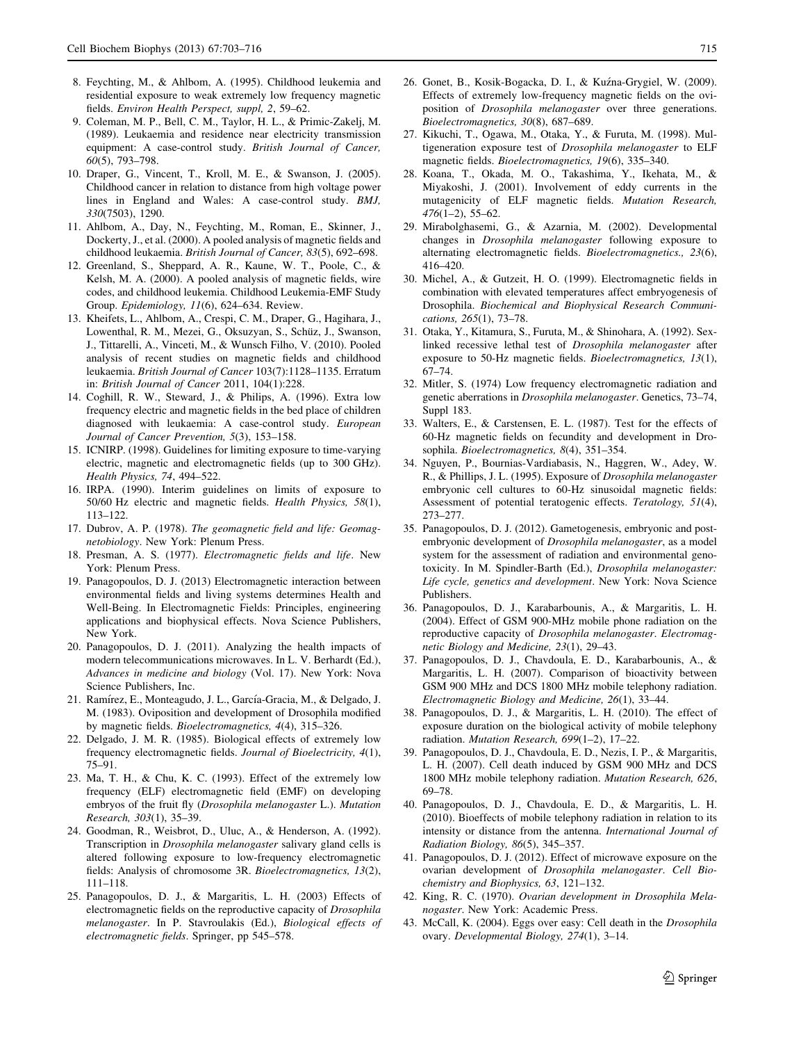- <span id="page-12-0"></span>8. Feychting, M., & Ahlbom, A. (1995). Childhood leukemia and residential exposure to weak extremely low frequency magnetic fields. Environ Health Perspect, suppl, 2, 59–62.
- 9. Coleman, M. P., Bell, C. M., Taylor, H. L., & Primic-Zakelj, M. (1989). Leukaemia and residence near electricity transmission equipment: A case-control study. British Journal of Cancer, 60(5), 793–798.
- 10. Draper, G., Vincent, T., Kroll, M. E., & Swanson, J. (2005). Childhood cancer in relation to distance from high voltage power lines in England and Wales: A case-control study. BMJ, 330(7503), 1290.
- 11. Ahlbom, A., Day, N., Feychting, M., Roman, E., Skinner, J., Dockerty, J., et al. (2000). A pooled analysis of magnetic fields and childhood leukaemia. British Journal of Cancer, 83(5), 692–698.
- 12. Greenland, S., Sheppard, A. R., Kaune, W. T., Poole, C., & Kelsh, M. A. (2000). A pooled analysis of magnetic fields, wire codes, and childhood leukemia. Childhood Leukemia-EMF Study Group. Epidemiology, 11(6), 624–634. Review.
- 13. Kheifets, L., Ahlbom, A., Crespi, C. M., Draper, G., Hagihara, J., Lowenthal, R. M., Mezei, G., Oksuzyan, S., Schüz, J., Swanson, J., Tittarelli, A., Vinceti, M., & Wunsch Filho, V. (2010). Pooled analysis of recent studies on magnetic fields and childhood leukaemia. British Journal of Cancer 103(7):1128–1135. Erratum in: British Journal of Cancer 2011, 104(1):228.
- 14. Coghill, R. W., Steward, J., & Philips, A. (1996). Extra low frequency electric and magnetic fields in the bed place of children diagnosed with leukaemia: A case-control study. European Journal of Cancer Prevention, 5(3), 153–158.
- 15. ICNIRP. (1998). Guidelines for limiting exposure to time-varying electric, magnetic and electromagnetic fields (up to 300 GHz). Health Physics, 74, 494–522.
- 16. IRPA. (1990). Interim guidelines on limits of exposure to 50/60 Hz electric and magnetic fields. Health Physics, 58(1), 113–122.
- 17. Dubrov, A. P. (1978). The geomagnetic field and life: Geomagnetobiology. New York: Plenum Press.
- 18. Presman, A. S. (1977). Electromagnetic fields and life. New York: Plenum Press.
- 19. Panagopoulos, D. J. (2013) Electromagnetic interaction between environmental fields and living systems determines Health and Well-Being. In Electromagnetic Fields: Principles, engineering applications and biophysical effects. Nova Science Publishers, New York.
- 20. Panagopoulos, D. J. (2011). Analyzing the health impacts of modern telecommunications microwaves. In L. V. Berhardt (Ed.), Advances in medicine and biology (Vol. 17). New York: Nova Science Publishers, Inc.
- 21. Ramírez, E., Monteagudo, J. L., García-Gracia, M., & Delgado, J. M. (1983). Oviposition and development of Drosophila modified by magnetic fields. Bioelectromagnetics, 4(4), 315–326.
- 22. Delgado, J. M. R. (1985). Biological effects of extremely low frequency electromagnetic fields. Journal of Bioelectricity, 4(1), 75–91.
- 23. Ma, T. H., & Chu, K. C. (1993). Effect of the extremely low frequency (ELF) electromagnetic field (EMF) on developing embryos of the fruit fly (Drosophila melanogaster L.). Mutation Research, 303(1), 35–39.
- 24. Goodman, R., Weisbrot, D., Uluc, A., & Henderson, A. (1992). Transcription in Drosophila melanogaster salivary gland cells is altered following exposure to low-frequency electromagnetic fields: Analysis of chromosome 3R. Bioelectromagnetics, 13(2), 111–118.
- 25. Panagopoulos, D. J., & Margaritis, L. H. (2003) Effects of electromagnetic fields on the reproductive capacity of Drosophila melanogaster. In P. Stavroulakis (Ed.), Biological effects of electromagnetic fields. Springer, pp 545–578.
- 26. Gonet, B., Kosik-Bogacka, D. I., & Kuz´na-Grygiel, W. (2009). Effects of extremely low-frequency magnetic fields on the oviposition of Drosophila melanogaster over three generations. Bioelectromagnetics, 30(8), 687–689.
- 27. Kikuchi, T., Ogawa, M., Otaka, Y., & Furuta, M. (1998). Multigeneration exposure test of Drosophila melanogaster to ELF magnetic fields. Bioelectromagnetics, 19(6), 335–340.
- 28. Koana, T., Okada, M. O., Takashima, Y., Ikehata, M., & Miyakoshi, J. (2001). Involvement of eddy currents in the mutagenicity of ELF magnetic fields. Mutation Research, 476(1–2), 55–62.
- 29. Mirabolghasemi, G., & Azarnia, M. (2002). Developmental changes in Drosophila melanogaster following exposure to alternating electromagnetic fields. Bioelectromagnetics., 23(6), 416–420.
- 30. Michel, A., & Gutzeit, H. O. (1999). Electromagnetic fields in combination with elevated temperatures affect embryogenesis of Drosophila. Biochemical and Biophysical Research Communications, 265(1), 73–78.
- 31. Otaka, Y., Kitamura, S., Furuta, M., & Shinohara, A. (1992). Sexlinked recessive lethal test of Drosophila melanogaster after exposure to 50-Hz magnetic fields. Bioelectromagnetics, 13(1), 67–74.
- 32. Mitler, S. (1974) Low frequency electromagnetic radiation and genetic aberrations in Drosophila melanogaster. Genetics, 73–74, Suppl 183.
- 33. Walters, E., & Carstensen, E. L. (1987). Test for the effects of 60-Hz magnetic fields on fecundity and development in Drosophila. Bioelectromagnetics, 8(4), 351–354.
- 34. Nguyen, P., Bournias-Vardiabasis, N., Haggren, W., Adey, W. R., & Phillips, J. L. (1995). Exposure of Drosophila melanogaster embryonic cell cultures to 60-Hz sinusoidal magnetic fields: Assessment of potential teratogenic effects. Teratology, 51(4), 273–277.
- 35. Panagopoulos, D. J. (2012). Gametogenesis, embryonic and postembryonic development of Drosophila melanogaster, as a model system for the assessment of radiation and environmental genotoxicity. In M. Spindler-Barth (Ed.), Drosophila melanogaster: Life cycle, genetics and development. New York: Nova Science Publishers.
- 36. Panagopoulos, D. J., Karabarbounis, A., & Margaritis, L. H. (2004). Effect of GSM 900-MHz mobile phone radiation on the reproductive capacity of Drosophila melanogaster. Electromagnetic Biology and Medicine, 23(1), 29–43.
- 37. Panagopoulos, D. J., Chavdoula, E. D., Karabarbounis, A., & Margaritis, L. H. (2007). Comparison of bioactivity between GSM 900 MHz and DCS 1800 MHz mobile telephony radiation. Electromagnetic Biology and Medicine, 26(1), 33–44.
- 38. Panagopoulos, D. J., & Margaritis, L. H. (2010). The effect of exposure duration on the biological activity of mobile telephony radiation. Mutation Research, 699(1–2), 17–22.
- 39. Panagopoulos, D. J., Chavdoula, E. D., Nezis, I. P., & Margaritis, L. H. (2007). Cell death induced by GSM 900 MHz and DCS 1800 MHz mobile telephony radiation. Mutation Research, 626, 69–78.
- 40. Panagopoulos, D. J., Chavdoula, E. D., & Margaritis, L. H. (2010). Bioeffects of mobile telephony radiation in relation to its intensity or distance from the antenna. International Journal of Radiation Biology, 86(5), 345–357.
- 41. Panagopoulos, D. J. (2012). Effect of microwave exposure on the ovarian development of Drosophila melanogaster. Cell Biochemistry and Biophysics, 63, 121–132.
- 42. King, R. C. (1970). Ovarian development in Drosophila Melanogaster. New York: Academic Press.
- 43. McCall, K. (2004). Eggs over easy: Cell death in the Drosophila ovary. Developmental Biology, 274(1), 3–14.